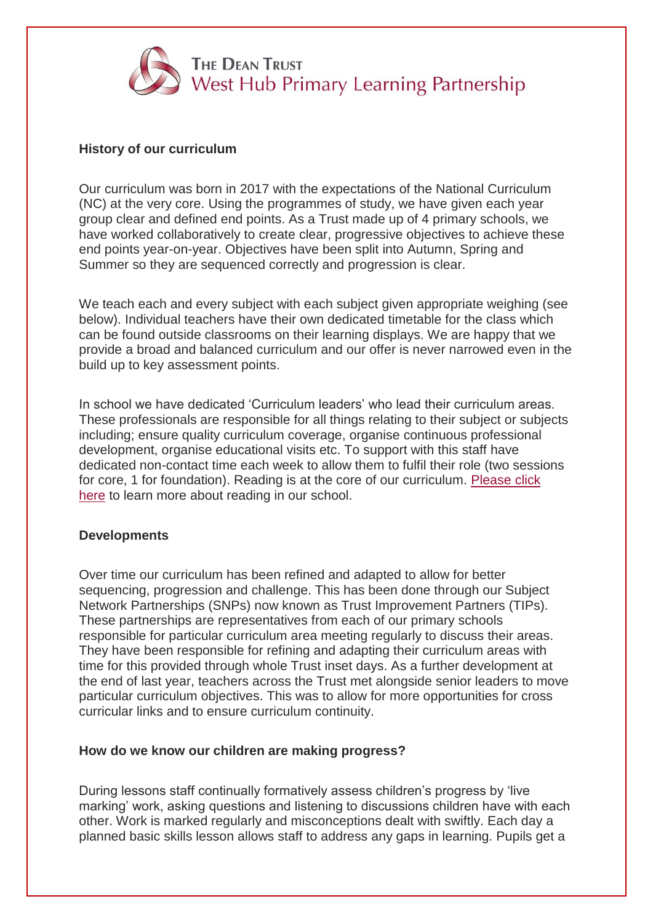

## **History of our curriculum**

Our curriculum was born in 2017 with the expectations of the National Curriculum (NC) at the very core. Using the programmes of study, we have given each year group clear and defined end points. As a Trust made up of 4 primary schools, we have worked collaboratively to create clear, progressive objectives to achieve these end points year-on-year. Objectives have been split into Autumn, Spring and Summer so they are sequenced correctly and progression is clear.

We teach each and every subject with each subject given appropriate weighing (see below). Individual teachers have their own dedicated timetable for the class which can be found outside classrooms on their learning displays. We are happy that we provide a broad and balanced curriculum and our offer is never narrowed even in the build up to key assessment points.

In school we have dedicated 'Curriculum leaders' who lead their curriculum areas. These professionals are responsible for all things relating to their subject or subjects including; ensure quality curriculum coverage, organise continuous professional development, organise educational visits etc. To support with this staff have dedicated non-contact time each week to allow them to fulfil their role (two sessions for core, 1 for foundation). Reading is at the core of our curriculum. [Please click](https://www.blacklowbrowschool.co.uk/curriculum/reading/)  [here](https://www.blacklowbrowschool.co.uk/curriculum/reading/) to learn more about reading in our school.

## **Developments**

Over time our curriculum has been refined and adapted to allow for better sequencing, progression and challenge. This has been done through our Subject Network Partnerships (SNPs) now known as Trust Improvement Partners (TIPs). These partnerships are representatives from each of our primary schools responsible for particular curriculum area meeting regularly to discuss their areas. They have been responsible for refining and adapting their curriculum areas with time for this provided through whole Trust inset days. As a further development at the end of last year, teachers across the Trust met alongside senior leaders to move particular curriculum objectives. This was to allow for more opportunities for cross curricular links and to ensure curriculum continuity.

## **How do we know our children are making progress?**

During lessons staff continually formatively assess children's progress by 'live marking' work, asking questions and listening to discussions children have with each other. Work is marked regularly and misconceptions dealt with swiftly. Each day a planned basic skills lesson allows staff to address any gaps in learning. Pupils get a